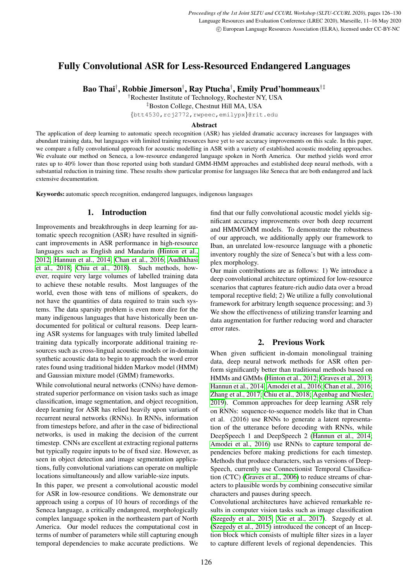# Fully Convolutional ASR for Less-Resourced Endangered Languages

Bao Thai† , Robbie Jimerson† , Ray Ptucha† , Emily Prud'hommeaux†‡

†Rochester Institute of Technology, Rochester NY, USA

‡Boston College, Chestnut Hill MA, USA

{btt4530,rcj2772,rwpeec,emilypx}@rit.edu

### Abstract

The application of deep learning to automatic speech recognition (ASR) has yielded dramatic accuracy increases for languages with abundant training data, but languages with limited training resources have yet to see accuracy improvements on this scale. In this paper, we compare a fully convolutional approach for acoustic modelling in ASR with a variety of established acoustic modeling approaches. We evaluate our method on Seneca, a low-resource endangered language spoken in North America. Our method yields word error rates up to 40% lower than those reported using both standard GMM-HMM approaches and established deep neural methods, with a substantial reduction in training time. These results show particular promise for languages like Seneca that are both endangered and lack extensive documentation.

Keywords: automatic speech recognition, endangered languages, indigenous languages

# 1. Introduction

Improvements and breakthroughs in deep learning for automatic speech recognition (ASR) have resulted in significant improvements in ASR performance in high-resource languages such as English and Mandarin [\(Hinton et al.,](#page-4-0) [2012;](#page-4-0) [Hannun et al., 2014;](#page-4-1) [Chan et al., 2016;](#page-4-2) [Audhkhasi](#page-4-3) [et al., 2018;](#page-4-3) [Chiu et al., 2018\)](#page-4-4). Such methods, however, require very large volumes of labelled training data to achieve these notable results. Most languages of the world, even those with tens of millions of speakers, do not have the quantities of data required to train such systems. The data sparsity problem is even more dire for the many indigenous languages that have historically been undocumented for political or cultural reasons. Deep learning ASR systems for languages with truly limited labelled training data typically incorporate additional training resources such as cross-lingual acoustic models or in-domain synthetic acoustic data to begin to approach the word error rates found using traditional hidden Markov model (HMM) and Gaussian mixture model (GMM) frameworks.

While convolutional neural networks (CNNs) have demonstrated superior performance on vision tasks such as image classification, image segmentation, and object recognition, deep learning for ASR has relied heavily upon variants of recurrent neural networks (RNNs). In RNNs, information from timesteps before, and after in the case of bidirectional networks, is used in making the decision of the current timestep. CNNs are excellent at extracting regional patterns but typically require inputs to be of fixed size. However, as seen in object detection and image segmentation applications, fully convolutional variations can operate on multiple locations simultaneously and allow variable-size inputs.

In this paper, we present a convolutional acoustic model for ASR in low-resource conditions. We demonstrate our approach using a corpus of 10 hours of recordings of the Seneca language, a critically endangered, morphologically complex language spoken in the northeastern part of North America. Our model reduces the computational cost in terms of number of parameters while still capturing enough temporal dependencies to make accurate predictions. We find that our fully convolutional acoustic model yields significant accuracy improvements over both deep recurrent and HMM/GMM models. To demonstrate the robustness of our approach, we additionally apply our framework to Iban, an unrelated low-resource language with a phonetic inventory roughly the size of Seneca's but with a less complex morphology.

Our main contributions are as follows: 1) We introduce a deep convolutional architecture optimized for low-resource scenarios that captures feature-rich audio data over a broad temporal receptive field; 2) We utilize a fully convolutional framework for arbitrary length sequence processing; and 3) We show the effectiveness of utilizing transfer learning and data augmentation for further reducing word and character error rates.

# 2. Previous Work

When given sufficient in-domain monolingual training data, deep neural network methods for ASR often perform significantly better than traditional methods based on HMMs and GMMs [\(Hinton et al., 2012;](#page-4-0) [Graves et al., 2013;](#page-4-5) [Hannun et al., 2014;](#page-4-1) [Amodei et al., 2016;](#page-4-6) [Chan et al., 2016;](#page-4-2) [Zhang et al., 2017;](#page-4-7) [Chiu et al., 2018;](#page-4-4) [Agenbag and Niesler,](#page-4-8) [2019\)](#page-4-8). Common approaches for deep learning ASR rely on RNNs: sequence-to-sequence models like that in Chan et al. (2016) use RNNs to generate a latent representation of the utterance before decoding with RNNs, while DeepSpeech 1 and DeepSpeech 2 [\(Hannun et al., 2014;](#page-4-1) [Amodei et al., 2016\)](#page-4-6) use RNNs to capture temporal dependencies before making predictions for each timestep. Methods that produce characters, such as versions of Deep-Speech, currently use Connectionist Temporal Classification (CTC) [\(Graves et al., 2006\)](#page-4-9) to reduce streams of characters to plausible words by combining consecutive similar characters and pauses during speech.

Convolutional architectures have achieved remarkable results in computer vision tasks such as image classification [\(Szegedy et al., 2015;](#page-4-10) [Xie et al., 2017\)](#page-4-11). Szegedy et al. [\(Szegedy et al., 2015\)](#page-4-10) introduced the concept of an Inception block which consists of multiple filter sizes in a layer to capture different levels of regional dependencies. This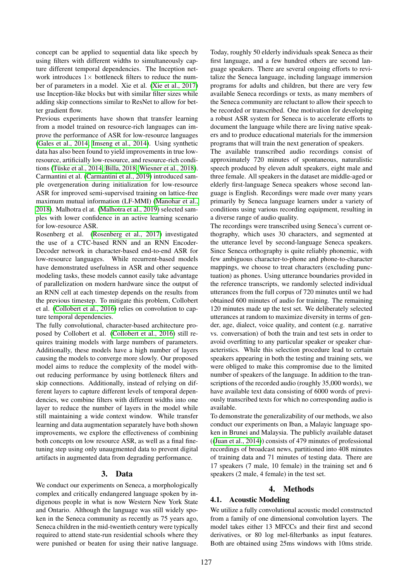concept can be applied to sequential data like speech by using filters with different widths to simultaneously capture different temporal dependencies. The Inception network introduces  $1 \times$  bottleneck filters to reduce the number of parameters in a model. Xie et al. [\(Xie et al., 2017\)](#page-4-11) use Inception-like blocks but with similar filter sizes while adding skip connections similar to ResNet to allow for better gradient flow.

Previous experiments have shown that transfer learning from a model trained on resource-rich languages can improve the performance of ASR for low-resource languages [\(Gales et al., 2014;](#page-4-12) [Imseng et al., 2014\)](#page-4-13). Using synthetic data has also been found to yield improvements in true lowresource, artificially low-resource, and resource-rich condi-tions (Tüske et al., 2014; [Billa, 2018;](#page-4-15) [Wiesner et al., 2018\)](#page-4-16). Carmantini et al. [\(Carmantini et al., 2019\)](#page-4-17) introduced sample overgeneration during initialization for low-resource ASR for improved semi-supervised training on lattice-free maximum mutual information (LF-MMI) [\(Manohar et al.,](#page-4-18) [2018\)](#page-4-18). Malhotra el at. [\(Malhotra et al., 2019\)](#page-4-19) selected samples with lower confidence in an active learning scenario for low-resource ASR.

Rosenberg et al. [\(Rosenberg et al., 2017\)](#page-4-20) investigated the use of a CTC-based RNN and an RNN Encoder-Decoder network in character-based end-to-end ASR for low-resource languages. While recurrent-based models have demonstrated usefulness in ASR and other sequence modeling tasks, these models cannot easily take advantage of parallelization on modern hardware since the output of an RNN cell at each timestep depends on the results from the previous timestep. To mitigate this problem, Collobert et al. [\(Collobert et al., 2016\)](#page-4-21) relies on convolution to capture temporal dependencies.

The fully convolutional, character-based architecture proposed by Collobert et al. [\(Collobert et al., 2016\)](#page-4-21) still requires training models with large numbers of parameters. Additionally, these models have a high number of layers causing the models to converge more slowly. Our proposed model aims to reduce the complexity of the model without reducing performance by using bottleneck filters and skip connections. Additionally, instead of relying on different layers to capture different levels of temporal dependencies, we combine filters with different widths into one layer to reduce the number of layers in the model while still maintaining a wide context window. While transfer learning and data augmentation separately have both shown improvements, we explore the effectiveness of combining both concepts on low resource ASR, as well as a final finetuning step using only unaugmented data to prevent digital artifacts in augmented data from degrading performance.

#### 3. Data

We conduct our experiments on Seneca, a morphologically complex and critically endangered language spoken by indigenous people in what is now Western New York State and Ontario. Although the language was still widely spoken in the Seneca community as recently as 75 years ago, Seneca children in the mid-twentieth century were typically required to attend state-run residential schools where they were punished or beaten for using their native language.

Today, roughly 50 elderly individuals speak Seneca as their first language, and a few hundred others are second language speakers. There are several ongoing efforts to revitalize the Seneca language, including language immersion programs for adults and children, but there are very few available Seneca recordings or texts, as many members of the Seneca community are reluctant to allow their speech to be recorded or transcribed. One motivation for developing a robust ASR system for Seneca is to accelerate efforts to document the language while there are living native speakers and to produce educational materials for the immersion programs that will train the next generation of speakers.

The available transcribed audio recordings consist of approximately 720 minutes of spontaneous, naturalistic speech produced by eleven adult speakers, eight male and three female. All speakers in the dataset are middle-aged or elderly first-language Seneca speakers whose second language is English. Recordings were made over many years primarily by Seneca language learners under a variety of conditions using various recording equipment, resulting in a diverse range of audio quality.

The recordings were transcribed using Seneca's current orthography, which uses 30 characters, and segmented at the utterance level by second-language Seneca speakers. Since Seneca orthography is quite reliably phonemic, with few ambiguous character-to-phone and phone-to-character mappings, we choose to treat characters (excluding punctuation) as phones. Using utterance boundaries provided in the reference transcripts, we randomly selected individual utterances from the full corpus of 720 minutes until we had obtained 600 minutes of audio for training. The remaining 120 minutes made up the test set. We deliberately selected utterances at random to maximize diversity in terms of gender, age, dialect, voice quality, and content (e.g. narrative vs. conversation) of both the train and test sets in order to avoid overfitting to any particular speaker or speaker characteristics. While this selection procedure lead to certain speakers appearing in both the testing and training sets, we were obliged to make this compromise due to the limited number of speakers of the language. In addition to the transcriptions of the recorded audio (roughly 35,000 words), we have available text data consisting of 6000 words of previously transcribed texts for which no corresponding audio is available.

To demonstrate the generalizability of our methods, we also conduct our experiments on Iban, a Malayic language spoken in Brunei and Malaysia. The publicly available dataset ([\(Juan et al., 2014\)](#page-4-22)) consists of 479 minutes of professional recordings of broadcast news, partitioned into 408 minutes of training data and 71 minutes of testing data. There are 17 speakers (7 male, 10 female) in the training set and 6 speakers (2 male, 4 female) in the test set.

#### 4. Methods

#### 4.1. Acoustic Modeling

We utilize a fully convolutional acoustic model constructed from a family of one dimensional convolution layers. The model takes either 13 MFCCs and their first and second derivatives, or 80 log mel-filterbanks as input features. Both are obtained using 25ms windows with 10ms stride.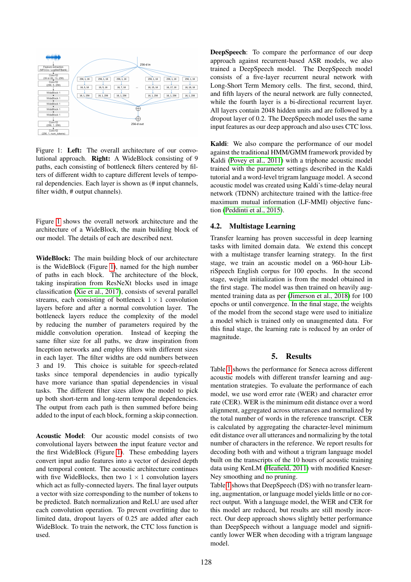

<span id="page-2-0"></span>Figure 1: Left: The overall architecture of our convolutional approach. Right: A WideBlock consisting of 9 paths, each consisting of bottleneck filters centered by filters of different width to capture different levels of temporal dependencies. Each layer is shown as (# input channels, filter width, # output channels).

Figure [1](#page-2-0) shows the overall network architecture and the architecture of a WideBlock, the main building block of our model. The details of each are described next.

WideBlock: The main building block of our architecture is the WideBlock (Figure [1\)](#page-2-0), named for the high number of paths in each block. The architecture of the block, taking inspiration from ResNeXt blocks used in image classification [\(Xie et al., 2017\)](#page-4-11), consists of several parallel streams, each consisting of bottleneck  $1 \times 1$  convolution layers before and after a normal convolution layer. The bottleneck layers reduce the complexity of the model by reducing the number of parameters required by the middle convolution operation. Instead of keeping the same filter size for all paths, we draw inspiration from Inception networks and employ filters with different sizes in each layer. The filter widths are odd numbers between 3 and 19. This choice is suitable for speech-related tasks since temporal dependencies in audio typically have more variance than spatial dependencies in visual tasks. The different filter sizes allow the model to pick up both short-term and long-term temporal dependencies. The output from each path is then summed before being added to the input of each block, forming a skip connection.

Acoustic Model: Our acoustic model consists of two convolutional layers between the input feature vector and the first WideBlock (Figure [1\)](#page-2-0). These embedding layers convert input audio features into a vector of desired depth and temporal content. The acoustic architecture continues with five WideBlocks, then two  $1 \times 1$  convolution layers which act as fully-connected layers. The final layer outputs a vector with size corresponding to the number of tokens to be predicted. Batch normalization and ReLU are used after each convolution operation. To prevent overfitting due to limited data, dropout layers of 0.25 are added after each WideBlock. To train the network, the CTC loss function is used.

DeepSpeech: To compare the performance of our deep approach against recurrent-based ASR models, we also trained a DeepSpeech model. The DeepSpeech model consists of a five-layer recurrent neural network with Long-Short Term Memory cells. The first, second, third, and fifth layers of the neural network are fully connected, while the fourth layer is a bi-directional recurrent layer. All layers contain 2048 hidden units and are followed by a dropout layer of 0.2. The DeepSpeech model uses the same input features as our deep approach and also uses CTC loss.

Kaldi: We also compare the performance of our model against the traditional HMM/GMM framework provided by Kaldi [\(Povey et al., 2011\)](#page-4-23) with a triphone acoustic model trained with the parameter settings described in the Kaldi tutorial and a word-level trigram language model. A second acoustic model was created using Kaldi's time-delay neural network (TDNN) architecture trained with the lattice-free maximum mutual information (LF-MMI) objective function [\(Peddinti et al., 2015\)](#page-4-24).

### 4.2. Multistage Learning

Transfer learning has proven successful in deep learning tasks with limited domain data. We extend this concept with a multistage transfer learning strategy. In the first stage, we train an acoustic model on a 960-hour LibriSpeech English corpus for 100 epochs. In the second stage, weight initialization is from the model obtained in the first stage. The model was then trained on heavily augmented training data as per [\(Jimerson et al., 2018\)](#page-4-25) for 100 epochs or until convergence. In the final stage, the weights of the model from the second stage were used to initialize a model which is trained only on unaugmented data. For this final stage, the learning rate is reduced by an order of magnitude.

#### 5. Results

Table [1](#page-3-0) shows the performance for Seneca across different acoustic models with different transfer learning and augmentation strategies. To evaluate the performance of each model, we use word error rate (WER) and character error rate (CER). WER is the minimum edit distance over a word alignment, aggregated across utterances and normalized by the total number of words in the reference transcript. CER is calculated by aggregating the character-level minimum edit distance over all utterances and normalizing by the total number of characters in the reference. We report results for decoding both with and without a trigram language model built on the transcripts of the 10 hours of acoustic training data using KenLM [\(Heafield, 2011\)](#page-4-26) with modified Kneser-Ney smoothing and no pruning.

Table [1](#page-3-0) shows that DeepSpeech (DS) with no transfer learning, augmentation, or language model yields little or no correct output. With a language model, the WER and CER for this model are reduced, but results are still mostly incorrect. Our deep approach shows slightly better performance than DeepSpeech without a language model and significantly lower WER when decoding with a trigram language model.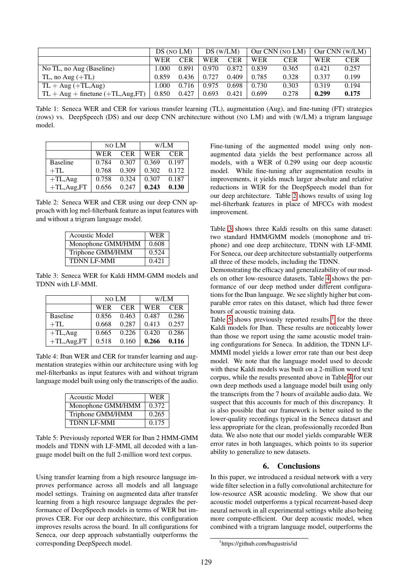|                                      | DS (NO LM) |            | DS (W/LM)  |            |            | Our CNN (NO LM) |            | Our CNN $(W/LM)$ |
|--------------------------------------|------------|------------|------------|------------|------------|-----------------|------------|------------------|
|                                      | <b>WER</b> | <b>CER</b> | <b>WER</b> | <b>CER</b> | <b>WER</b> | <b>CER</b>      | <b>WER</b> | <b>CER</b>       |
| No TL, no Aug (Baseline)             | .000       | 0.891      | 0.970      | 0.872      | 0.839      | 0.365           | 0.421      | 0.257            |
| TL, no Aug $(+TL)$                   | 0.859      | 0.436      | 0.727      | 0.409      | 0.785      | 0.328           | 0.337      | 0.199            |
| $TL + Aug (+TL, Aug)$                | .000       | 0.716      | 0.975      | 0.698      | 0.730      | 0.303           | 0.319      | 0.194            |
| $TL + Aug + finetune (+TL, Aug, FT)$ | 0.850      | 0.427      | 0.693      | 0.421      | 0.699      | 0.278           | 0.299      | 0.175            |

<span id="page-3-0"></span>Table 1: Seneca WER and CER for various transfer learning (TL), augmentation (Aug), and fine-tuning (FT) strategies (rows) vs. DeepSpeech (DS) and our deep CNN architecture without (NO LM) and with (W/LM) a trigram language model.

|                 | NO LM |            | W/LM  |            |  |
|-----------------|-------|------------|-------|------------|--|
|                 | WER   | <b>CER</b> | WER   | <b>CER</b> |  |
| <b>Baseline</b> | 0.784 | 0.307      | 0.369 | 0.197      |  |
| $+TL$           | 0.768 | 0.309      | 0.302 | 0.172      |  |
| $+TL$ , Aug     | 0.758 | 0.324      | 0.307 | 0.187      |  |
| $+TL$ , Aug, FT | 0.656 | 0.247      | 0.243 | 0.130      |  |

<span id="page-3-1"></span>Table 2: Seneca WER and CER using our deep CNN approach with log mel-filterbank feature as input features with and without a trigram language model.

| <b>Acoustic Model</b> | <b>WER</b> |
|-----------------------|------------|
| Monophone GMM/HMM     | 0.608      |
| Triphone GMM/HMM      | 0.524      |
| <b>TDNN LF-MMI</b>    | 0.421      |

<span id="page-3-2"></span>Table 3: Seneca WER for Kaldi HMM-GMM models and TDNN with LF-MMI.

|                 | NO LM |            | W/LM          |            |  |
|-----------------|-------|------------|---------------|------------|--|
|                 | WER   | <b>CER</b> | <b>WER</b>    | <b>CER</b> |  |
| <b>Baseline</b> | 0.856 | 0.463      | $0.487$ 0.286 |            |  |
| $+TL$           | 0.668 | 0.287      | 0.413         | 0.257      |  |
| $+TL$ , Aug     | 0.665 | 0.226      | 0.420         | 0.286      |  |
| $+TL$ , Aug, FT | 0.518 | 0.160      | 0.266         | 0.116      |  |

<span id="page-3-3"></span>Table 4: Iban WER and CER for transfer learning and augmentation strategies within our architecture using with log mel-filterbanks as input features with and without trigram language model built using only the transcripts of the audio.

| Acoustic Model     | <b>WER</b> |
|--------------------|------------|
| Monophone GMM/HMM  | 0.372      |
| Triphone GMM/HMM   | 0.265      |
| <b>TDNN LF-MMI</b> | 0.175      |

<span id="page-3-4"></span>Table 5: Previously reported WER for Iban 2 HMM-GMM models and TDNN with LF-MMI, all decoded with a language model built on the full 2-million word text corpus.

Using transfer learning from a high resource language improves performance across all models and all language model settings. Training on augmented data after transfer learning from a high resource language degrades the performance of DeepSpeech models in terms of WER but improves CER. For our deep architecture, this configuration improves results across the board. In all configurations for Seneca, our deep approach substantially outperforms the corresponding DeepSpeech model.

Fine-tuning of the augmented model using only nonaugmented data yields the best performance across all models, with a WER of 0.299 using our deep acoustic model. While fine-tuning after augmentation results in improvements, it yields much larger absolute and relative reductions in WER for the DeepSpeech model than for our deep architecture. Table [2](#page-3-1) shows results of using log mel-filterbank features in place of MFCCs with modest improvement.

Table [3](#page-3-2) shows three Kaldi results on this same dataset: two standard HMM/GMM models (monophone and triphone) and one deep architecture, TDNN with LF-MMI. For Seneca, our deep architecture substantially outperforms all three of these models, including the TDNN.

Demonstrating the efficacy and generalizability of our models on other low-resource datasets, Table [4](#page-3-3) shows the performance of our deep method under different configurations for the Iban language. We see slightly higher but comparable error rates on this dataset, which had three fewer hours of acoustic training data.

Table [5](#page-3-4) shows previously reported results  $1$  for the three Kaldi models for Iban. These results are noticeably lower than those we report using the same acoustic model training configurations for Seneca. In addition, the TDNN LF-MMMI model yields a lower error rate than our best deep model. We note that the language model used to decode with these Kaldi models was built on a 2-million word text corpus, while the results presented above in Table [4](#page-3-3) for our own deep methods used a language model built using only the transcripts from the 7 hours of available audio data. We suspect that this accounts for much of this discrepancy. It is also possible that our framework is better suited to the lower-quality recordings typical in the Seneca dataset and less appropriate for the clean, professionally recorded Iban data. We also note that our model yields comparable WER error rates in both languages, which points to its superior ability to generalize to new datasets.

# 6. Conclusions

In this paper, we introduced a residual network with a very wide filter selection in a fully convolutional architecture for low-resource ASR acoustic modeling. We show that our acoustic model outperforms a typical recurrent-based deep neural network in all experimental settings while also being more compute-efficient. Our deep acoustic model, when combined with a trigram language model, outperforms the

<span id="page-3-5"></span><sup>1</sup> https://github.com/bagustris/id